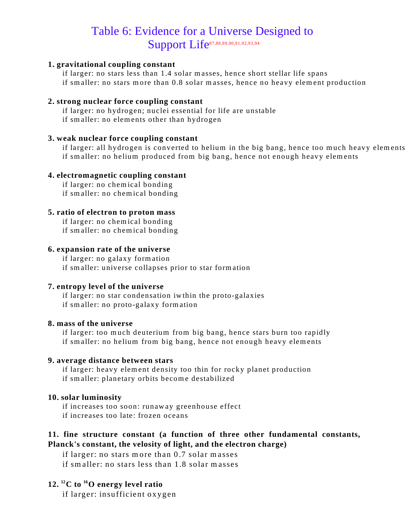# Table 6: Evidence for a Universe Designed to Support Life87,88,89,90,91,92,93,94

#### **1. gravitational coupling constant**

if larger: no stars less than 1.4 solar masses, hence short stellar life spans if smaller: no stars more than 0.8 solar masses, hence no heavy element production

#### **2. strong nuclear force coupling constant**

if larger: no hydrogen; nuclei essential for life are unstable if smaller: no elements other than hydrogen

#### **3. weak nuclear force coupling constant**

if larger: all hydrogen is converted to helium in the big bang, hence too much heavy elements if smaller: no helium produced from big bang, hence not enough heavy elements

#### **4. electromagnetic coupling constant**

if larger: no chemical bonding if smaller: no chemical bonding

#### **5. ratio of electron to proton mass**

if larger: no chemical bonding if smaller: no chemical bonding

### **6. expansion rate of the universe**

if larger: no galaxy formation if smaller: universe collapses prior to star formation

#### **7. entropy level of the universe**

if larger: no star condensation iwthin the proto-galaxies if smaller: no proto-galaxy formation

#### **8. mass of the universe**

if larger: too much deuterium from big bang, hence stars burn too rapidly if smaller: no helium from big bang, hence not enough heavy elements

#### **9. average distance between stars**

if larger: heavy element density too thin for rocky planet production if smaller: planetary orbits become destabilized

#### **10. solar luminosity**

if increases too soon: runaway greenhouse effect if increases too late: frozen oceans

## **11. fine structure constant (a function of three other fundamental constants, Planck's constant, the velosity of light, and the electron charge)**

if larger: no stars more than 0.7 solar masses if smaller: no stars less than 1.8 solar masses

## **12. <sup>12</sup>C to <sup>16</sup>O energy level ratio**

if larger: insufficient oxygen